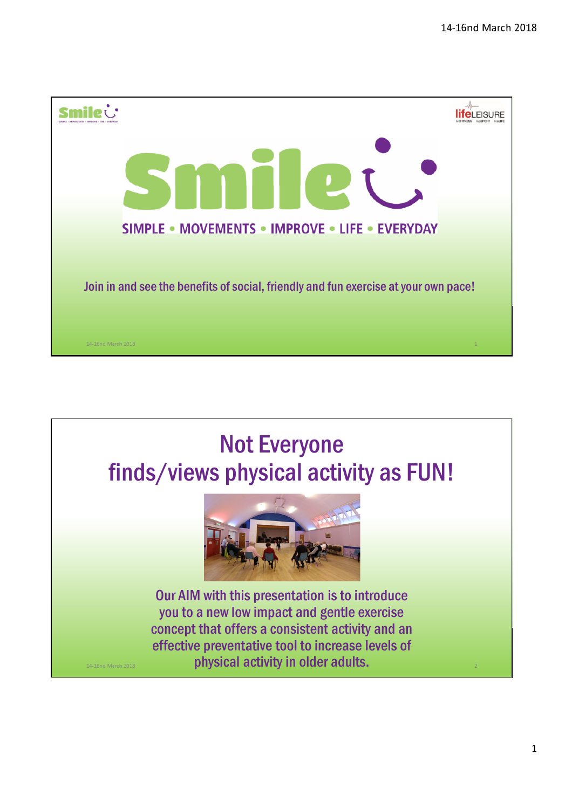

## Not Everyone finds/views physical activity as FUN!



Our AIM with this presentation is to introduce you to a new low impact and gentle exercise concept that offers a consistent activity and an effective preventative tool to increase levels of physical activity in older adults.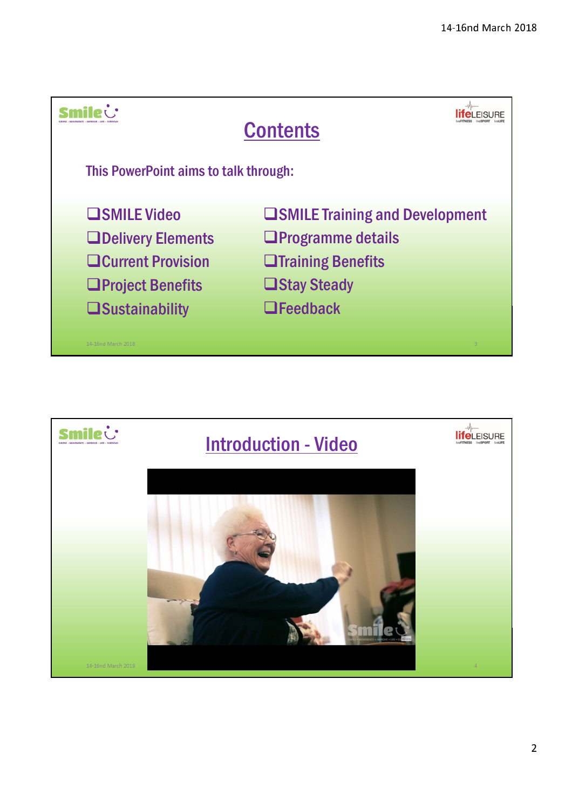

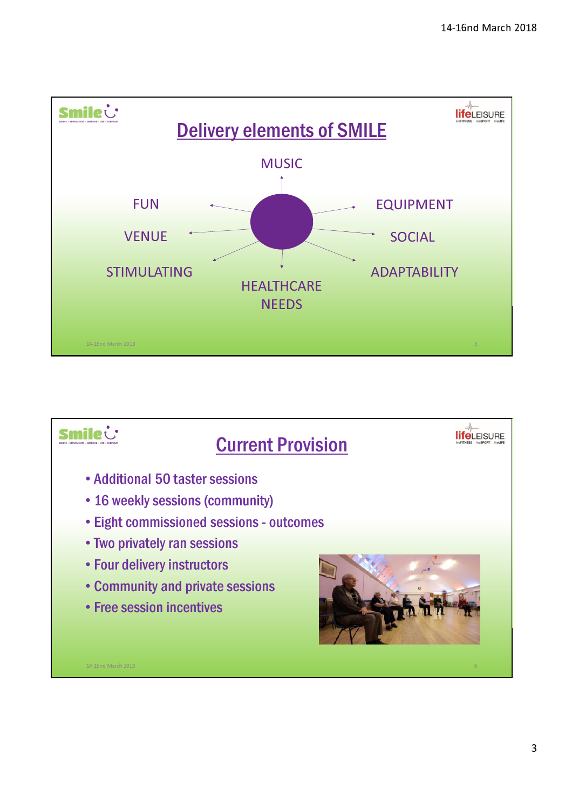

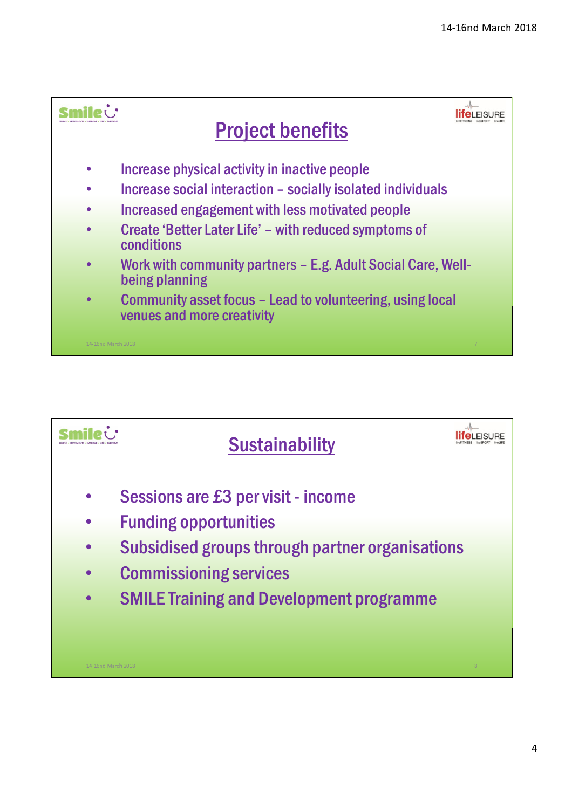

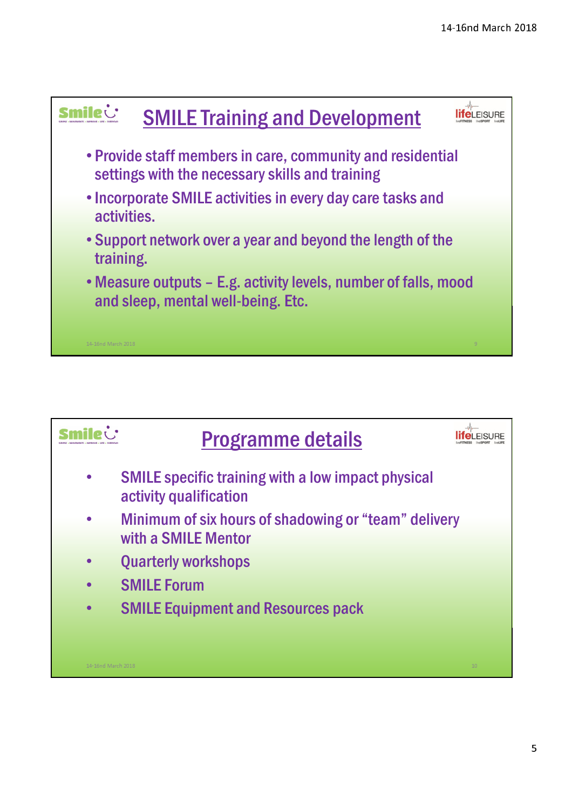

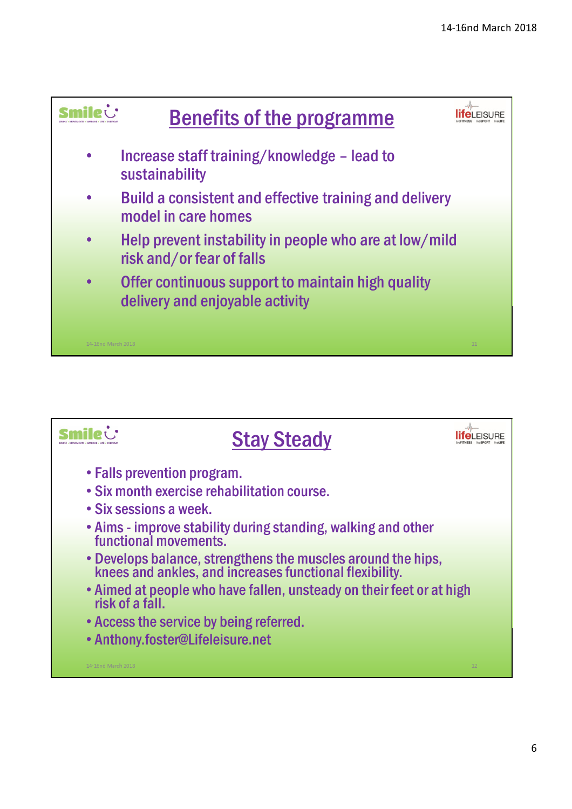